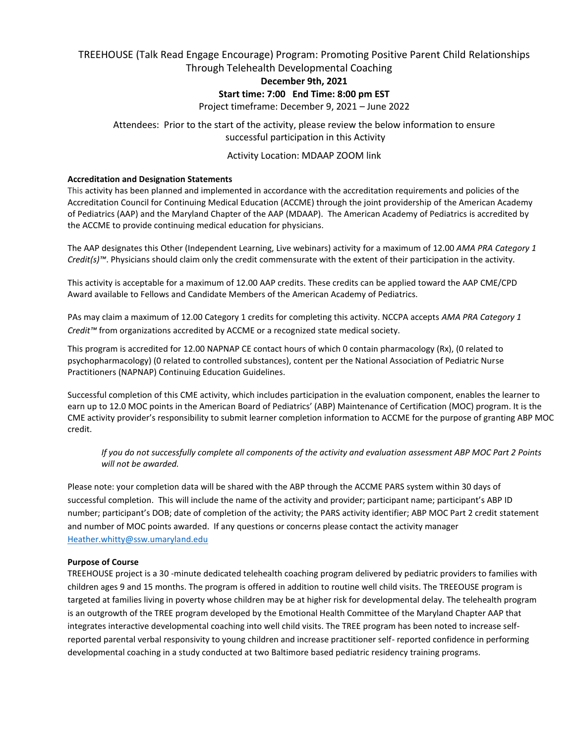# TREEHOUSE (Talk Read Engage Encourage) Program: Promoting Positive Parent Child Relationships

# Through Telehealth Developmental Coaching

# **December 9th, 2021**

# **Start time: 7:00 End Time: 8:00 pm EST**

Project timeframe: December 9, 2021 – June 2022

# Attendees: Prior to the start of the activity, please review the below information to ensure successful participation in this Activity

# Activity Location: MDAAP ZOOM link

# **Accreditation and Designation Statements**

This activity has been planned and implemented in accordance with the accreditation requirements and policies of the Accreditation Council for Continuing Medical Education (ACCME) through the joint providership of the American Academy of Pediatrics (AAP) and the Maryland Chapter of the AAP (MDAAP). The American Academy of Pediatrics is accredited by the ACCME to provide continuing medical education for physicians.

The AAP designates this Other (Independent Learning, Live webinars) activity for a maximum of 12.00 *AMA PRA Category 1 Credit(s)™*. Physicians should claim only the credit commensurate with the extent of their participation in the activity.

This activity is acceptable for a maximum of 12.00 AAP credits. These credits can be applied toward the AAP CME/CPD Award available to Fellows and Candidate Members of the American Academy of Pediatrics.

PAs may claim a maximum of 12.00 Category 1 credits for completing this activity. NCCPA accepts *AMA PRA Category 1 Credit™* from organizations accredited by ACCME or a recognized state medical society.

This program is accredited for 12.00 NAPNAP CE contact hours of which 0 contain pharmacology (Rx), (0 related to psychopharmacology) (0 related to controlled substances), content per the National Association of Pediatric Nurse Practitioners (NAPNAP) Continuing Education Guidelines.

Successful completion of this CME activity, which includes participation in the evaluation component, enables the learner to earn up to 12.0 MOC points in the American Board of Pediatrics' (ABP) Maintenance of Certification (MOC) program. It is the CME activity provider's responsibility to submit learner completion information to ACCME for the purpose of granting ABP MOC credit.

*If you do not successfully complete all components of the activity and evaluation assessment ABP MOC Part 2 Points will not be awarded.*

Please note: your completion data will be shared with the ABP through the ACCME PARS system within 30 days of successful completion. This will include the name of the activity and provider; participant name; participant's ABP ID number; participant's DOB; date of completion of the activity; the PARS activity identifier; ABP MOC Part 2 credit statement and number of MOC points awarded. If any questions or concerns please contact the activity manager [Heather.whitty@ssw.umaryland.edu](mailto:Heather.whitty@ssw.umaryland.edu)

# **Purpose of Course**

TREEHOUSE project is a 30 -minute dedicated telehealth coaching program delivered by pediatric providers to families with children ages 9 and 15 months. The program is offered in addition to routine well child visits. The TREEOUSE program is targeted at families living in poverty whose children may be at higher risk for developmental delay. The telehealth program is an outgrowth of the TREE program developed by the Emotional Health Committee of the Maryland Chapter AAP that integrates interactive developmental coaching into well child visits. The TREE program has been noted to increase selfreported parental verbal responsivity to young children and increase practitioner self- reported confidence in performing developmental coaching in a study conducted at two Baltimore based pediatric residency training programs.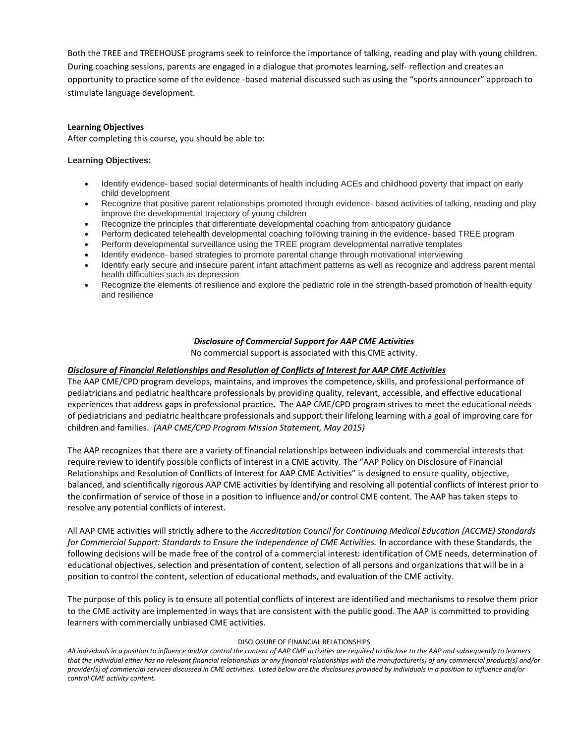Both the TREE and TREEHOUSE programs seek to reinforce the importance of talking, reading and play with young children. During coaching sessions, parents are engaged in a dialogue that promotes learning, self- reflection and creates an opportunity to practice some of the evidence -based material discussed such as using the "sports announcer" approach to stimulate language development.

#### **Learning Objectives**

After completing this course, you should be able to:

#### **Learning Objectives:**

- Identify evidence- based social determinants of health including ACEs and childhood poverty that impact on early child development
- Recognize that positive parent relationships promoted through evidence- based activities of talking, reading and play improve the developmental trajectory of young children
- Recognize the principles that differentiate developmental coaching from anticipatory guidance
- Perform dedicated telehealth developmental coaching following training in the evidence- based TREE program
- Perform developmental surveillance using the TREE program developmental narrative templates
- Identify evidence- based strategies to promote parental change through motivational interviewing
- Identify early secure and insecure parent infant attachment patterns as well as recognize and address parent mental health difficulties such as depression
- Recognize the elements of resilience and explore the pediatric role in the strength-based promotion of health equity and resilience

#### *Disclosure of Commercial Support for AAP CME Activities*

No commercial support is associated with this CME activity.

#### *Disclosure of Financial Relationships and Resolution of Conflicts of Interest for AAP CME Activities*

The AAP CME/CPD program develops, maintains, and improves the competence, skills, and professional performance of pediatricians and pediatric healthcare professionals by providing quality, relevant, accessible, and effective educational experiences that address gaps in professional practice. The AAP CME/CPD program strives to meet the educational needs of pediatricians and pediatric healthcare professionals and support their lifelong learning with a goal of improving care for children and families. *(AAP CME/CPD Program Mission Statement, May 2015)*

The AAP recognizes that there are a variety of financial relationships between individuals and commercial interests that require review to identify possible conflicts of interest in a CME activity. The "AAP Policy on Disclosure of Financial Relationships and Resolution of Conflicts of Interest for AAP CME Activities" is designed to ensure quality, objective, balanced, and scientifically rigorous AAP CME activities by identifying and resolving all potential conflicts of interest prior to the confirmation of service of those in a position to influence and/or control CME content. The AAP has taken steps to resolve any potential conflicts of interest.

All AAP CME activities will strictly adhere to the *Accreditation Council for Continuing Medical Education (ACCME) Standards*  for Commercial Support: Standards to Ensure the Independence of CME Activities. In accordance with these Standards, the following decisions will be made free of the control of a commercial interest: identification of CME needs, determination of educational objectives, selection and presentation of content, selection of all persons and organizations that will be in a position to control the content, selection of educational methods, and evaluation of the CME activity.

The purpose of this policy is to ensure all potential conflicts of interest are identified and mechanisms to resolve them prior to the CME activity are implemented in ways that are consistent with the public good. The AAP is committed to providing learners with commercially unbiased CME activities.

#### DISCLOSURE OF FINANCIAL RELATIONSHIPS

*All individuals in a position to influence and/or control the content of AAP CME activities are required to disclose to the AAP and subsequently to learners that the individual either has no relevant financial relationships or any financial relationships with the manufacturer(s) of any commercial product(s) and/or provider(s) of commercial services discussed in CME activities. Listed below are the disclosures provided by individuals in a position to influence and/or control CME activity content.*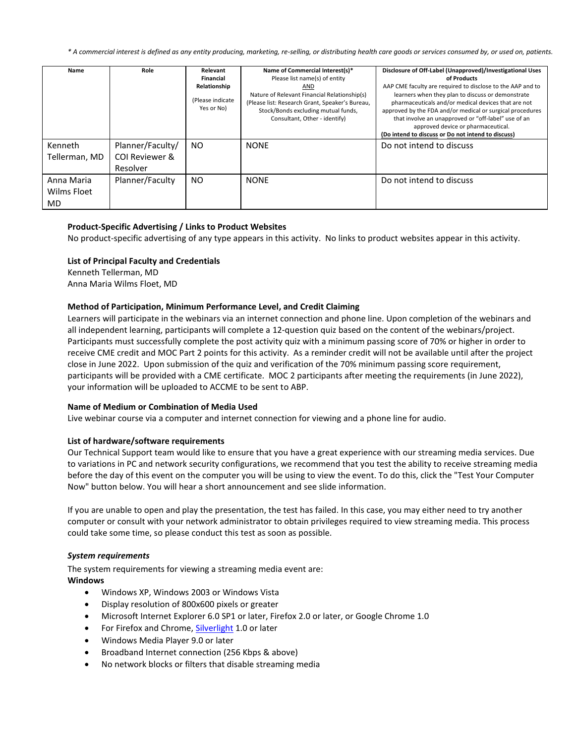*\* A commercial interest is defined as any entity producing, marketing, re-selling, or distributing health care goods or services consumed by, or used on, patients.* 

| Name                             | Role                                           | Relevant<br>Financial<br>Relationship<br>(Please indicate<br>Yes or No) | Name of Commercial Interest(s)*<br>Please list name(s) of entity<br>AND<br>Nature of Relevant Financial Relationship(s)<br>(Please list: Research Grant, Speaker's Bureau,<br>Stock/Bonds excluding mutual funds,<br>Consultant, Other - identify) | Disclosure of Off-Label (Unapproved)/Investigational Uses<br>of Products<br>AAP CME faculty are required to disclose to the AAP and to<br>learners when they plan to discuss or demonstrate<br>pharmaceuticals and/or medical devices that are not<br>approved by the FDA and/or medical or surgical procedures<br>that involve an unapproved or "off-label" use of an<br>approved device or pharmaceutical.<br>(Do intend to discuss or Do not intend to discuss) |
|----------------------------------|------------------------------------------------|-------------------------------------------------------------------------|----------------------------------------------------------------------------------------------------------------------------------------------------------------------------------------------------------------------------------------------------|--------------------------------------------------------------------------------------------------------------------------------------------------------------------------------------------------------------------------------------------------------------------------------------------------------------------------------------------------------------------------------------------------------------------------------------------------------------------|
| Kenneth<br>Tellerman, MD         | Planner/Faculty/<br>COI Reviewer &<br>Resolver | NO.                                                                     | <b>NONE</b>                                                                                                                                                                                                                                        | Do not intend to discuss                                                                                                                                                                                                                                                                                                                                                                                                                                           |
| Anna Maria<br>Wilms Floet<br>MD. | Planner/Faculty                                | N <sub>O</sub>                                                          | <b>NONE</b>                                                                                                                                                                                                                                        | Do not intend to discuss                                                                                                                                                                                                                                                                                                                                                                                                                                           |

# **Product-Specific Advertising / Links to Product Websites**

No product-specific advertising of any type appears in this activity. No links to product websites appear in this activity.

#### **List of Principal Faculty and Credentials**

Kenneth Tellerman, MD Anna Maria Wilms Floet, MD

# **Method of Participation, Minimum Performance Level, and Credit Claiming**

Learners will participate in the webinars via an internet connection and phone line. Upon completion of the webinars and all independent learning, participants will complete a 12-question quiz based on the content of the webinars/project. Participants must successfully complete the post activity quiz with a minimum passing score of 70% or higher in order to receive CME credit and MOC Part 2 points for this activity. As a reminder credit will not be available until after the project close in June 2022. Upon submission of the quiz and verification of the 70% minimum passing score requirement, participants will be provided with a CME certificate. MOC 2 participants after meeting the requirements (in June 2022), your information will be uploaded to ACCME to be sent to ABP.

#### **Name of Medium or Combination of Media Used**

Live webinar course via a computer and internet connection for viewing and a phone line for audio.

# **List of hardware/software requirements**

Our Technical Support team would like to ensure that you have a great experience with our streaming media services. Due to variations in PC and network security configurations, we recommend that you test the ability to receive streaming media before the day of this event on the computer you will be using to view the event. To do this, click the "Test Your Computer Now" button below. You will hear a short announcement and see slide information.

If you are unable to open and play the presentation, the test has failed. In this case, you may either need to try another computer or consult with your network administrator to obtain privileges required to view streaming media. This process could take some time, so please conduct this test as soon as possible.

#### *System requirements*

The system requirements for viewing a streaming media event are: **Windows**

- Windows XP, Windows 2003 or Windows Vista
- Display resolution of 800x600 pixels or greater
- Microsoft Internet Explorer 6.0 SP1 or later, Firefox 2.0 or later, or Google Chrome 1.0
- For Firefox and Chrome[, Silverlight](http://silverlight.net/GetStarted/) 1.0 or later
- Windows Media Player 9.0 or later
- Broadband Internet connection (256 Kbps & above)
- No network blocks or filters that disable streaming media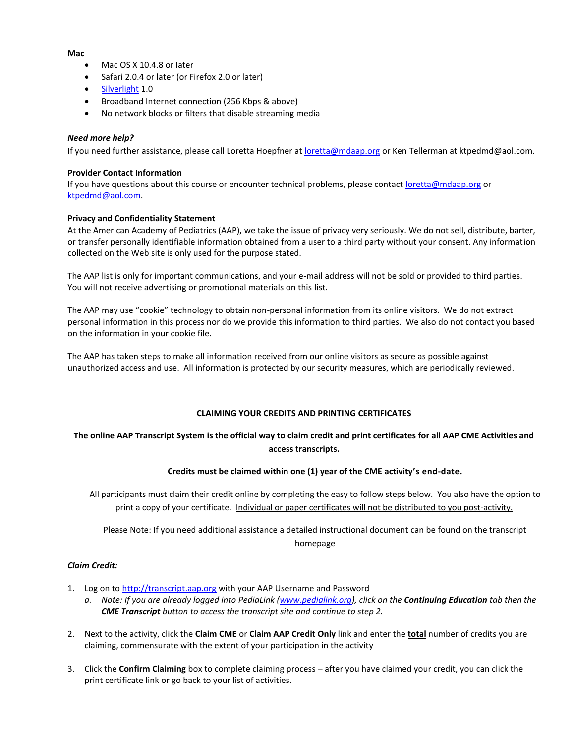#### **Mac**

- Mac OS X 10.4.8 or later
- Safari 2.0.4 or later (or Firefox 2.0 or later)
- [Silverlight](http://silverlight.net/GetStarted/) 1.0
- Broadband Internet connection (256 Kbps & above)
- No network blocks or filters that disable streaming media

# *Need more help?*

If you need further assistance, please call Loretta Hoepfner at [loretta@mdaap.org](mailto:loretta@mdaap.org) or Ken Tellerman at ktpedmd@aol.com.

#### **Provider Contact Information**

If you have questions about this course or encounter technical problems, please contact [loretta@mdaap.org](mailto:loretta@mdaap.org) or [ktpedmd@aol.com.](mailto:ktpedmd@aol.com)

#### **Privacy and Confidentiality Statement**

At the American Academy of Pediatrics (AAP), we take the issue of privacy very seriously. We do not sell, distribute, barter, or transfer personally identifiable information obtained from a user to a third party without your consent. Any information collected on the Web site is only used for the purpose stated.

The AAP list is only for important communications, and your e-mail address will not be sold or provided to third parties. You will not receive advertising or promotional materials on this list.

The AAP may use "cookie" technology to obtain non-personal information from its online visitors. We do not extract personal information in this process nor do we provide this information to third parties. We also do not contact you based on the information in your cookie file.

The AAP has taken steps to make all information received from our online visitors as secure as possible against unauthorized access and use. All information is protected by our security measures, which are periodically reviewed.

# **CLAIMING YOUR CREDITS AND PRINTING CERTIFICATES**

# **The online AAP Transcript System is the official way to claim credit and print certificates for all AAP CME Activities and access transcripts.**

# **Credits must be claimed within one (1) year of the CME activity's end-date.**

All participants must claim their credit online by completing the easy to follow steps below. You also have the option to print a copy of your certificate. Individual or paper certificates will not be distributed to you post-activity.

Please Note: If you need additional assistance a detailed instructional document can be found on the transcript homepage

#### *Claim Credit:*

1. Log on to [http://transcript.aap.org](http://transcript.aap.org/) with your AAP Username and Password

*a. Note: If you are already logged into PediaLink [\(www.pedialink.org\)](http://www.pedialink.org/), click on the Continuing Education tab then the CME Transcript button to access the transcript site and continue to step 2.*

- 2. Next to the activity, click the **Claim CME** or **Claim AAP Credit Only** link and enter the **total** number of credits you are claiming, commensurate with the extent of your participation in the activity
- 3. Click the **Confirm Claiming** box to complete claiming process after you have claimed your credit, you can click the print certificate link or go back to your list of activities.